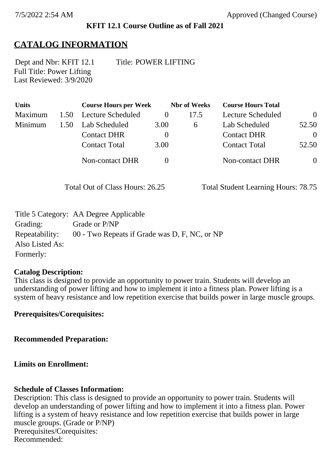#### **KFIT 12.1 Course Outline as of Fall 2021**

## **CATALOG INFORMATION**

Full Title: Power Lifting Last Reviewed: 3/9/2020 Dept and Nbr: KFIT 12.1 Title: POWER LIFTING

| <b>Units</b> |      | <b>Course Hours per Week</b> |          | <b>Nbr</b> of Weeks | <b>Course Hours Total</b> |                |
|--------------|------|------------------------------|----------|---------------------|---------------------------|----------------|
| Maximum      | 1.50 | Lecture Scheduled            |          | 17.5                | Lecture Scheduled         | $\overline{0}$ |
| Minimum      | 1.50 | Lab Scheduled                | 3.00     | $\sigma$            | Lab Scheduled             | 52.50          |
|              |      | <b>Contact DHR</b>           | $\theta$ |                     | <b>Contact DHR</b>        | $\theta$       |
|              |      | <b>Contact Total</b>         | 3.00     |                     | <b>Contact Total</b>      | 52.50          |
|              |      | Non-contact DHR              |          |                     | <b>Non-contact DHR</b>    | $\overline{0}$ |

Total Out of Class Hours: 26.25 Total Student Learning Hours: 78.75

|                 | Title 5 Category: AA Degree Applicable        |
|-----------------|-----------------------------------------------|
| Grading:        | Grade or P/NP                                 |
| Repeatability:  | 00 - Two Repeats if Grade was D, F, NC, or NP |
| Also Listed As: |                                               |
| Formerly:       |                                               |

#### **Catalog Description:**

This class is designed to provide an opportunity to power train. Students will develop an understanding of power lifting and how to implement it into a fitness plan. Power lifting is a system of heavy resistance and low repetition exercise that builds power in large muscle groups.

**Prerequisites/Corequisites:**

**Recommended Preparation:**

**Limits on Enrollment:**

#### **Schedule of Classes Information:**

Description: This class is designed to provide an opportunity to power train. Students will develop an understanding of power lifting and how to implement it into a fitness plan. Power lifting is a system of heavy resistance and low repetition exercise that builds power in large muscle groups. (Grade or P/NP) Prerequisites/Corequisites: Recommended: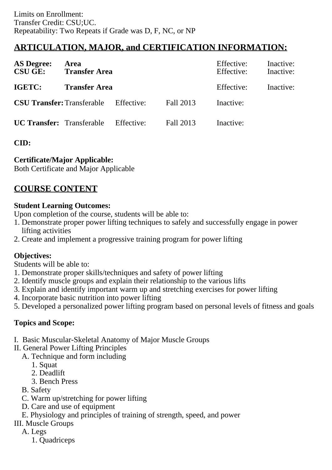# **ARTICULATION, MAJOR, and CERTIFICATION INFORMATION:**

| <b>AS Degree:</b><br><b>CSU GE:</b> | Area<br><b>Transfer Area</b> |            |           | Effective:<br>Effective: | Inactive:<br>Inactive: |
|-------------------------------------|------------------------------|------------|-----------|--------------------------|------------------------|
| IGETC:                              | <b>Transfer Area</b>         |            |           | Effective:               | Inactive:              |
| <b>CSU Transfer:</b> Transferable   |                              | Effective: | Fall 2013 | Inactive:                |                        |
| <b>UC Transfer:</b> Transferable    |                              | Effective: | Fall 2013 | Inactive:                |                        |

### **CID:**

### **Certificate/Major Applicable:**

[Both Certificate and Major Applicable](SR_ClassCheck.aspx?CourseKey=KFIT12.1)

## **COURSE CONTENT**

#### **Student Learning Outcomes:**

Upon completion of the course, students will be able to:

- 1. Demonstrate proper power lifting techniques to safely and successfully engage in power lifting activities
- 2. Create and implement a progressive training program for power lifting

### **Objectives:**

Students will be able to:

- 1. Demonstrate proper skills/techniques and safety of power lifting
- 2. Identify muscle groups and explain their relationship to the various lifts
- 3. Explain and identify important warm up and stretching exercises for power lifting
- 4. Incorporate basic nutrition into power lifting
- 5. Developed a personalized power lifting program based on personal levels of fitness and goals

### **Topics and Scope:**

- I. Basic Muscular-Skeletal Anatomy of Major Muscle Groups
- II. General Power Lifting Principles
	- A. Technique and form including
		- 1. Squat
		- 2. Deadlift
		- 3. Bench Press
	- B. Safety
	- C. Warm up/stretching for power lifting
	- D. Care and use of equipment
	- E. Physiology and principles of training of strength, speed, and power
- III. Muscle Groups
	- A. Legs
		- 1. Quadriceps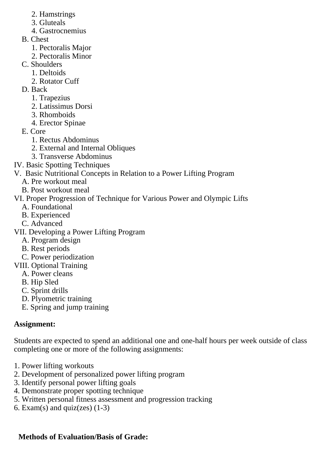- 2. Hamstrings
- 3. Gluteals
- 4. Gastrocnemius
- B. Chest
	- 1. Pectoralis Major
	- 2. Pectoralis Minor
- C. Shoulders
	- 1. Deltoids
	- 2. Rotator Cuff
- D. Back
	- 1. Trapezius
	- 2. Latissimus Dorsi
	- 3. Rhomboids
	- 4. Erector Spinae
- E. Core
	- 1. Rectus Abdominus
	- 2. External and Internal Obliques
	- 3. Transverse Abdominus
- IV. Basic Spotting Techniques
- V. Basic Nutritional Concepts in Relation to a Power Lifting Program
	- A. Pre workout meal
	- B. Post workout meal
- VI. Proper Progression of Technique for Various Power and Olympic Lifts
	- A. Foundational
	- B. Experienced
	- C. Advanced
- VII. Developing a Power Lifting Program
	- A. Program design
	- B. Rest periods
	- C. Power periodization
- VIII. Optional Training
	- A. Power cleans
	- B. Hip Sled
	- C. Sprint drills
	- D. Plyometric training
	- E. Spring and jump training

## **Assignment:**

Students are expected to spend an additional one and one-half hours per week outside of class completing one or more of the following assignments:

- 1. Power lifting workouts
- 2. Development of personalized power lifting program
- 3. Identify personal power lifting goals
- 4. Demonstrate proper spotting technique
- 5. Written personal fitness assessment and progression tracking
- 6. Exam(s) and quiz(zes)  $(1-3)$

# **Methods of Evaluation/Basis of Grade:**